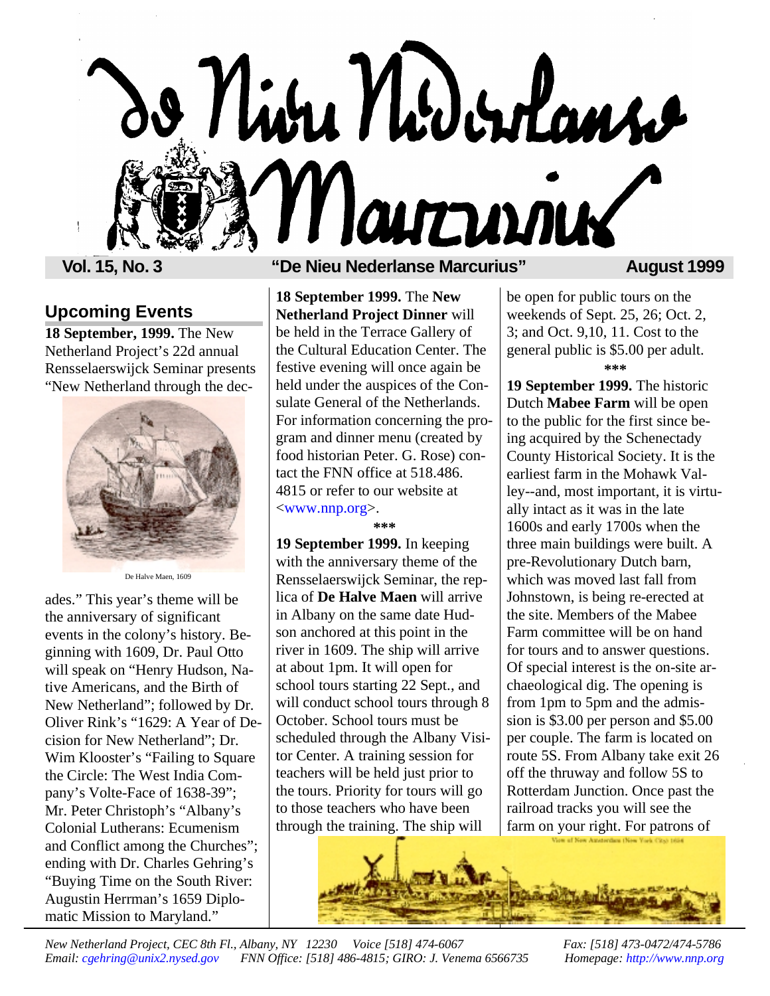

# **Upcoming Events**

**18 September, 1999.** The New Netherland Project's 22d annual Rensselaerswijck Seminar presents "New Netherland through the dec-



De Halve Maen, 1609

ades." This year's theme will be the anniversary of significant events in the colony's history. Beginning with 1609, Dr. Paul Otto will speak on "Henry Hudson, Native Americans, and the Birth of New Netherland"; followed by Dr. Oliver Rink's "1629: A Year of Decision for New Netherland"; Dr. Wim Klooster's "Failing to Square the Circle: The West India Company's Volte-Face of 1638-39"; Mr. Peter Christoph's "Albany's Colonial Lutherans: Ecumenism and Conflict among the Churches"; ending with Dr. Charles Gehring's "Buying Time on the South River: Augustin Herrman's 1659 Diplomatic Mission to Maryland."

## **Vol. 15, No. 3 "De Nieu Nederlanse Marcurius" August 1999**

**18 September 1999.** The **New Netherland Project Dinner** will be held in the Terrace Gallery of the Cultural Education Center. The festive evening will once again be held under the auspices of the Consulate General of the Netherlands. For information concerning the program and dinner menu (created by food historian Peter. G. Rose) contact the FNN office at 518.486. 4815 or refer to our website at [<www.nnp.org>.](http://www.nnp.org)

### **\*\*\***

**19 September 1999.** In keeping with the anniversary theme of the Rensselaerswijck Seminar, the replica of **De Halve Maen** will arrive in Albany on the same date Hudson anchored at this point in the river in 1609. The ship will arrive at about 1pm. It will open for school tours starting 22 Sept., and will conduct school tours through 8 October. School tours must be scheduled through the Albany Visitor Center. A training session for teachers will be held just prior to the tours. Priority for tours will go to those teachers who have been through the training. The ship will

be open for public tours on the weekends of Sept. 25, 26; Oct. 2, 3; and Oct. 9,10, 11. Cost to the general public is \$5.00 per adult. **\*\*\***

**19 September 1999.** The historic Dutch **Mabee Farm** will be open to the public for the first since being acquired by the Schenectady County Historical Society. It is the earliest farm in the Mohawk Valley--and, most important, it is virtually intact as it was in the late 1600s and early 1700s when the three main buildings were built. A pre-Revolutionary Dutch barn, which was moved last fall from Johnstown, is being re-erected at the site. Members of the Mabee Farm committee will be on hand for tours and to answer questions. Of special interest is the on-site archaeological dig. The opening is from 1pm to 5pm and the admission is \$3.00 per person and \$5.00 per couple. The farm is located on route 5S. From Albany take exit 26 off the thruway and follow 5S to Rotterdam Junction. Once past the railroad tracks you will see the farm on your right. For patrons of

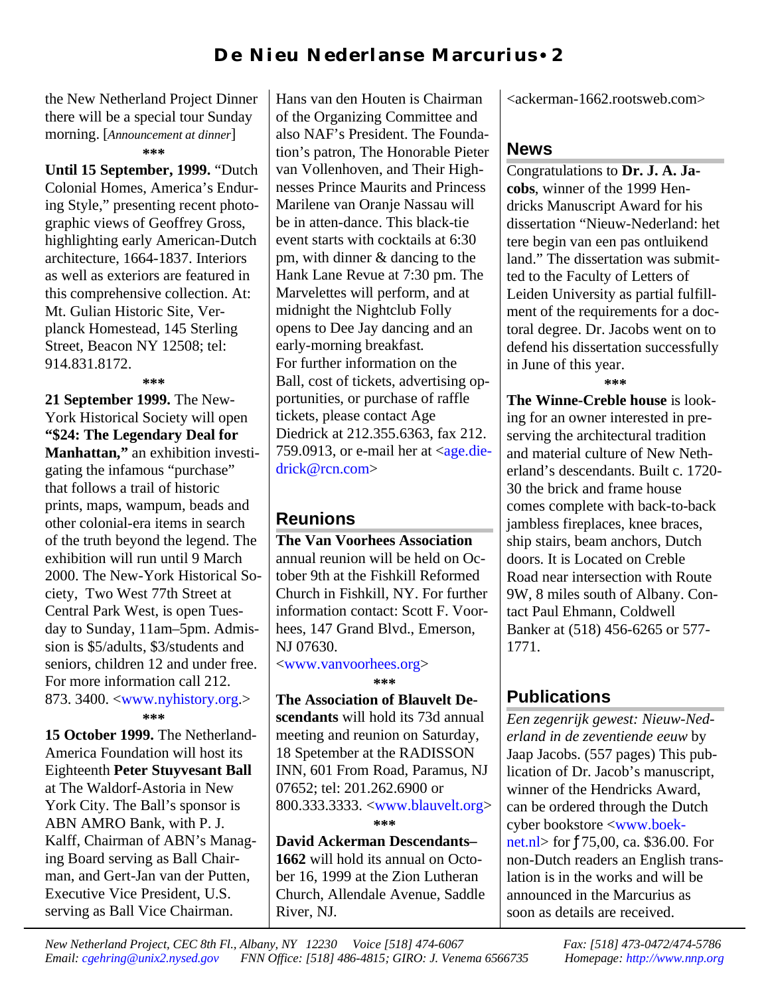the New Netherland Project Dinner there will be a special tour Sunday morning. [*Announcement at dinner*] **\*\*\***

**Until 15 September, 1999.** "Dutch Colonial Homes, America's Enduring Style," presenting recent photographic views of Geoffrey Gross, highlighting early American-Dutch architecture, 1664-1837. Interiors as well as exteriors are featured in this comprehensive collection. At: Mt. Gulian Historic Site, Verplanck Homestead, 145 Sterling Street, Beacon NY 12508; tel: 914.831.8172.

**\*\*\***

**21 September 1999.** The New-York Historical Society will open **"\$24: The Legendary Deal for Manhattan,"** an exhibition investigating the infamous "purchase" that follows a trail of historic prints, maps, wampum, beads and other colonial-era items in search of the truth beyond the legend. The exhibition will run until 9 March 2000. The New-York Historical Society, Two West 77th Street at Central Park West, is open Tuesday to Sunday, 11am–5pm. Admission is \$5/adults, \$3/students and seniors, children 12 and under free. For more information call 212. 873. 3400. [<www.nyhistory.org.>](http://www.nyhistory.org) **\*\*\***

**15 October 1999.** The Netherland-America Foundation will host its Eighteenth **Peter Stuyvesant Ball** at The Waldorf-Astoria in New York City. The Ball's sponsor is ABN AMRO Bank, with P. J. Kalff, Chairman of ABN's Managing Board serving as Ball Chairman, and Gert-Jan van der Putten, Executive Vice President, U.S. serving as Ball Vice Chairman.

Hans van den Houten is Chairman of the Organizing Committee and also NAF's President. The Foundation's patron, The Honorable Pieter van Vollenhoven, and Their Highnesses Prince Maurits and Princess Marilene van Oranje Nassau will be in atten-dance. This black-tie event starts with cocktails at 6:30 pm, with dinner & dancing to the Hank Lane Revue at 7:30 pm. The Marvelettes will perform, and at midnight the Nightclub Folly opens to Dee Jay dancing and an early-morning breakfast. For further information on the Ball, cost of tickets, advertising opportunities, or purchase of raffle tickets, please contact Age Diedrick at 212.355.6363, fax 212. 759.0913, or e-mail her at  $\langle age\_{die}$ [drick@rcn.com>](mailto:age.diedrick@rcn.com)

# **Reunions**

**The Van Voorhees Association** annual reunion will be held on October 9th at the Fishkill Reformed Church in Fishkill, NY. For further information contact: Scott F. Voorhees, 147 Grand Blvd., Emerson, NJ 07630.

[<www.vanvoorhees.org>](http://www.vanvoorhees.org) **\*\*\***

**The Association of Blauvelt De-**

**scendants** will hold its 73d annual meeting and reunion on Saturday, 18 Spetember at the RADISSON INN, 601 From Road, Paramus, NJ 07652; tel: 201.262.6900 or 800.333.3333. [<www.blauvelt.org>](http://www.blauvelt.org) **\*\*\***

**David Ackerman Descendants– 1662** will hold its annual on October 16, 1999 at the Zion Lutheran Church, Allendale Avenue, Saddle River, NJ.

<ackerman-1662.rootsweb.com>

## **News**

Congratulations to **Dr. J. A. Jacobs**, winner of the 1999 Hendricks Manuscript Award for his dissertation "Nieuw-Nederland: het tere begin van een pas ontluikend land." The dissertation was submitted to the Faculty of Letters of Leiden University as partial fulfillment of the requirements for a doctoral degree. Dr. Jacobs went on to defend his dissertation successfully in June of this year.

**\*\*\***

**The Winne-Creble house** is looking for an owner interested in preserving the architectural tradition and material culture of New Netherland's descendants. Built c. 1720- 30 the brick and frame house comes complete with back-to-back jambless fireplaces, knee braces, ship stairs, beam anchors, Dutch doors. It is Located on Creble Road near intersection with Route 9W, 8 miles south of Albany. Contact Paul Ehmann, Coldwell Banker at (518) 456-6265 or 577- 1771.

# **Publications**

*Een zegenrijk gewest: Nieuw-Nederland in de zeventiende eeuw* by Jaap Jacobs. (557 pages) This publication of Dr. Jacob's manuscript, winner of the Hendricks Award, can be ordered through the Dutch cyber bookstore [<www.boek](http://www.boeknet.nl)net.nl> for ƒ75,00, ca. \$36.00. For non-Dutch readers an English translation is in the works and will be announced in the Marcurius as soon as details are received.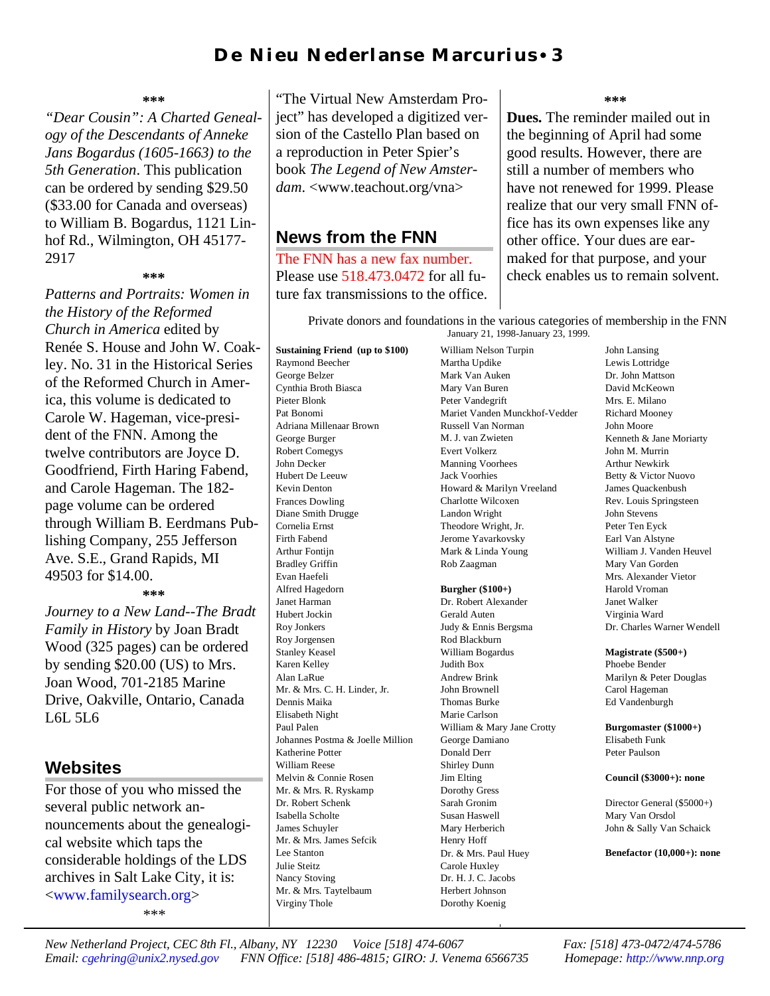# D e N i eu N eder l an s e M ar curius • 3

### **\*\*\***

*"Dear Cousin": A Charted Genealogy of the Descendants of Anneke Jans Bogardus (1605-1663) to the 5th Generation*. This publication can be ordered by sending \$29.50 (\$33.00 for Canada and overseas) to William B. Bogardus, 1121 Linhof Rd., Wilmington, OH 45177- 2917

#### **\*\*\***

*Patterns and Portraits: Women in the History of the Reformed Church in America* edited by Renée S. House and John W. Coakley. No. 31 in the Historical Series of the Reformed Church in America, this volume is dedicated to Carole W. Hageman, vice-president of the FNN. Among the twelve contributors are Joyce D. Goodfriend, Firth Haring Fabend, and Carole Hageman. The 182 page volume can be ordered through William B. Eerdmans Publishing Company, 255 Jefferson Ave. S.E., Grand Rapids, MI 49503 for \$14.00.

**\*\*\***

*Journey to a New Land--The Bradt Family in History* by Joan Bradt Wood (325 pages) can be ordered by sending \$20.00 (US) to Mrs. Joan Wood, 701-2185 Marine Drive, Oakville, Ontario, Canada L6L 5L6

## **Websites**

For those of you who missed the several public network announcements about the genealogical website which taps the considerable holdings of the LDS archives in Salt Lake City, it is: [<www.familysearch.org>](http://www.familysearch.org) *\*\*\**

"The Virtual New Amsterdam Project" has developed a digitized version of the Castello Plan based on a reproduction in Peter Spier's book *The Legend of New Amsterdam*. <www.teachout.org/vna>

## **News from the FNN**

The FNN has a new fax number. Please use 518.473.0472 for all future fax transmissions to the office. **\*\*\***

**Dues.** The reminder mailed out in the beginning of April had some good results. However, there are still a number of members who have not renewed for 1999. Please realize that our very small FNN office has its own expenses like any other office. Your dues are earmaked for that purpose, and your check enables us to remain solvent.

Private donors and foundations in the various categories of membership in the FNN January 21, 1998-January 23, 1999.

**Sustaining Friend (up to \$100)** Raymond Beecher George Belzer Cynthia Broth Biasca Pieter Blonk Pat Bonomi Adriana Millenaar Brown George Burger Robert Comegys John Decker Hubert De Leeuw Kevin Denton Frances Dowling Diane Smith Drugge Cornelia Ernst Firth Fabend Arthur Fontijn Bradley Griffin Evan Haefeli Alfred Hagedorn Janet Harman Hubert Jockin Roy Jonkers Roy Jorgensen Stanley Keasel Karen Kelley Alan LaRue Mr. & Mrs. C. H. Linder, Jr. Dennis Maika Elisabeth Night Paul Palen Johannes Postma & Joelle Million Katherine Potter William Reese Melvin & Connie Rosen Mr. & Mrs. R. Ryskamp Dr. Robert Schenk Isabella Scholte James Schuyler Mr. & Mrs. James Sefcik Lee Stanton Julie Steitz Nancy Stoving Mr. & Mrs. Taytelbaum Virginy Thole

William Nelson Turpin Martha Updike Mark Van Auken Mary Van Buren Peter Vandegrift Mariet Vanden Munckhof-Vedder Russell Van Norman M. J. van Zwieten Evert Volkerz Manning Voorhees Jack Voorhies Howard & Marilyn Vreeland Charlotte Wilcoxen Landon Wright Theodore Wright, Jr. Jerome Yavarkovsky Mark & Linda Young Rob Zaagman

### **Burgher (\$100+)**

Dr. Robert Alexander Gerald Auten Judy & Ennis Bergsma Rod Blackburn William Bogardus Judith Box Andrew Brink John Brownell Thomas Burke Marie Carlson William & Mary Jane Crotty George Damiano Donald Derr Shirley Dunn Jim Elting Dorothy Gress Sarah Gronim Susan Haswell Mary Herberich Henry Hoff Dr. & Mrs. Paul Huey Carole Huxley Dr. H. J. C. Jacobs Herbert Johnson Dorothy Koenig

John Lansing Lewis Lottridge Dr. John Mattson David McKeown Mrs. E. Milano Richard Mooney John Moore Kenneth & Jane Moriarty John M. Murrin Arthur Newkirk Betty & Victor Nuovo James Quackenbush Rev. Louis Springsteen John Stevens Peter Ten Eyck Earl Van Alstyne William J. Vanden Heuvel Mary Van Gorden Mrs. Alexander Vietor Harold Vroman Janet Walker Virginia Ward Dr. Charles Warner Wendell

### **Magistrate (\$500+)**

Phoebe Bender Marilyn & Peter Douglas Carol Hageman Ed Vandenburgh

**Burgomaster (\$1000+)** Elisabeth Funk Peter Paulson

### **Council (\$3000+): none**

Director General (\$5000+) Mary Van Orsdol John & Sally Van Schaick

**Benefactor (10,000+): none**